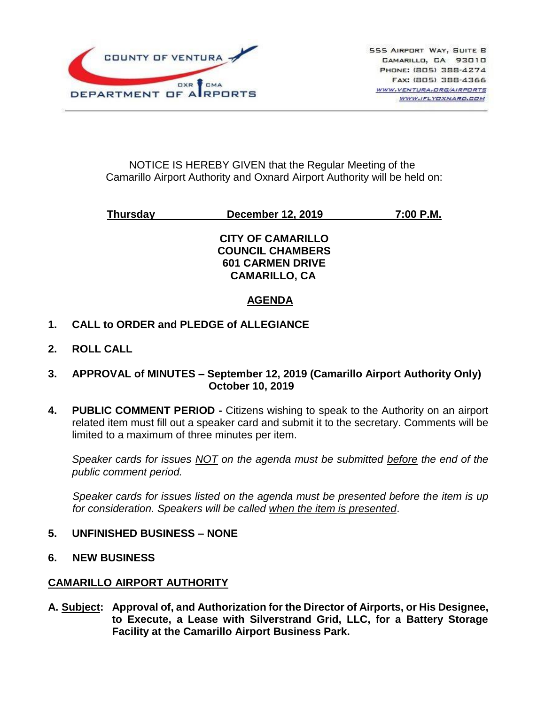

## NOTICE IS HEREBY GIVEN that the Regular Meeting of the Camarillo Airport Authority and Oxnard Airport Authority will be held on:

**Thursday December 12, 2019 7:00 P.M.**

## **CITY OF CAMARILLO COUNCIL CHAMBERS 601 CARMEN DRIVE CAMARILLO, CA**

# **AGENDA**

- **1. CALL to ORDER and PLEDGE of ALLEGIANCE**
- **2. ROLL CALL**
- **3. APPROVAL of MINUTES – September 12, 2019 (Camarillo Airport Authority Only) October 10, 2019**
- **4. PUBLIC COMMENT PERIOD -** Citizens wishing to speak to the Authority on an airport related item must fill out a speaker card and submit it to the secretary. Comments will be limited to a maximum of three minutes per item.

*Speaker cards for issues NOT on the agenda must be submitted before the end of the public comment period.*

*Speaker cards for issues listed on the agenda must be presented before the item is up for consideration. Speakers will be called when the item is presented*.

- **5. UNFINISHED BUSINESS – NONE**
- **6. NEW BUSINESS**

#### **CAMARILLO AIRPORT AUTHORITY**

**A. Subject: Approval of, and Authorization for the Director of Airports, or His Designee, to Execute, a Lease with Silverstrand Grid, LLC, for a Battery Storage Facility at the Camarillo Airport Business Park.**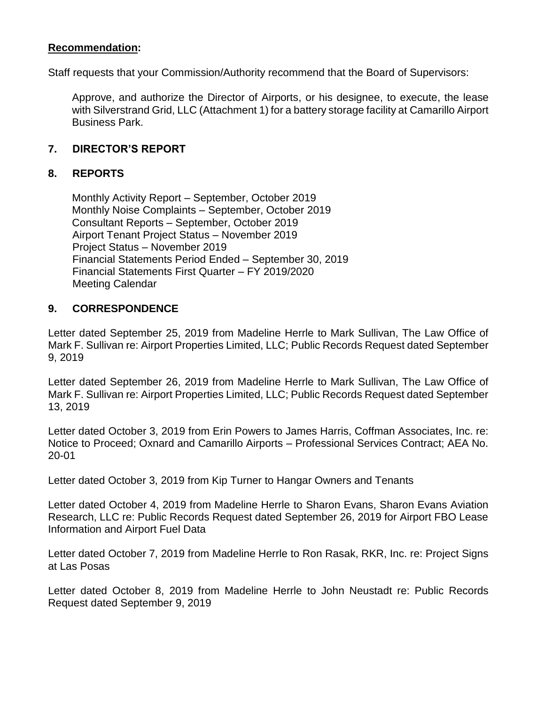## **Recommendation:**

Staff requests that your Commission/Authority recommend that the Board of Supervisors:

Approve, and authorize the Director of Airports, or his designee, to execute, the lease with Silverstrand Grid, LLC (Attachment 1) for a battery storage facility at Camarillo Airport Business Park.

#### **7. DIRECTOR'S REPORT**

#### **8. REPORTS**

Monthly Activity Report – September, October 2019 Monthly Noise Complaints – September, October 2019 Consultant Reports – September, October 2019 Airport Tenant Project Status – November 2019 Project Status – November 2019 Financial Statements Period Ended – September 30, 2019 Financial Statements First Quarter – FY 2019/2020 Meeting Calendar

#### **9. CORRESPONDENCE**

Letter dated September 25, 2019 from Madeline Herrle to Mark Sullivan, The Law Office of Mark F. Sullivan re: Airport Properties Limited, LLC; Public Records Request dated September 9, 2019

Letter dated September 26, 2019 from Madeline Herrle to Mark Sullivan, The Law Office of Mark F. Sullivan re: Airport Properties Limited, LLC; Public Records Request dated September 13, 2019

Letter dated October 3, 2019 from Erin Powers to James Harris, Coffman Associates, Inc. re: Notice to Proceed; Oxnard and Camarillo Airports – Professional Services Contract; AEA No. 20-01

Letter dated October 3, 2019 from Kip Turner to Hangar Owners and Tenants

Letter dated October 4, 2019 from Madeline Herrle to Sharon Evans, Sharon Evans Aviation Research, LLC re: Public Records Request dated September 26, 2019 for Airport FBO Lease Information and Airport Fuel Data

Letter dated October 7, 2019 from Madeline Herrle to Ron Rasak, RKR, Inc. re: Project Signs at Las Posas

Letter dated October 8, 2019 from Madeline Herrle to John Neustadt re: Public Records Request dated September 9, 2019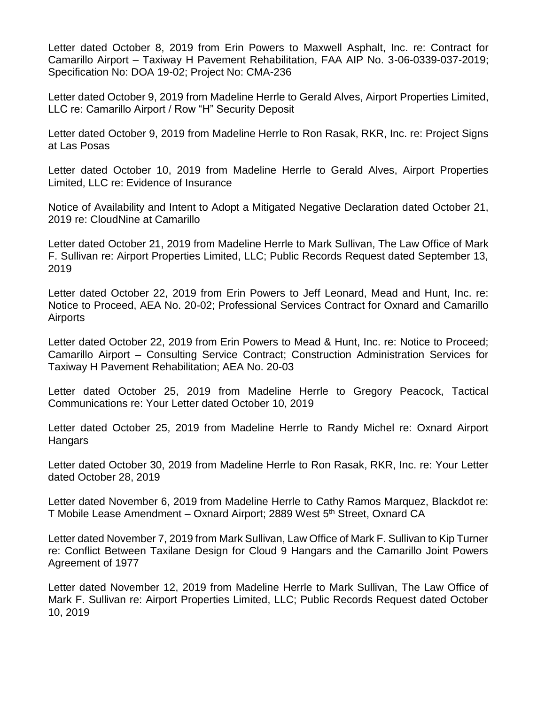Letter dated October 8, 2019 from Erin Powers to Maxwell Asphalt, Inc. re: Contract for Camarillo Airport – Taxiway H Pavement Rehabilitation, FAA AIP No. 3-06-0339-037-2019; Specification No: DOA 19-02; Project No: CMA-236

Letter dated October 9, 2019 from Madeline Herrle to Gerald Alves, Airport Properties Limited, LLC re: Camarillo Airport / Row "H" Security Deposit

Letter dated October 9, 2019 from Madeline Herrle to Ron Rasak, RKR, Inc. re: Project Signs at Las Posas

Letter dated October 10, 2019 from Madeline Herrle to Gerald Alves, Airport Properties Limited, LLC re: Evidence of Insurance

Notice of Availability and Intent to Adopt a Mitigated Negative Declaration dated October 21, 2019 re: CloudNine at Camarillo

Letter dated October 21, 2019 from Madeline Herrle to Mark Sullivan, The Law Office of Mark F. Sullivan re: Airport Properties Limited, LLC; Public Records Request dated September 13, 2019

Letter dated October 22, 2019 from Erin Powers to Jeff Leonard, Mead and Hunt, Inc. re: Notice to Proceed, AEA No. 20-02; Professional Services Contract for Oxnard and Camarillo Airports

Letter dated October 22, 2019 from Erin Powers to Mead & Hunt, Inc. re: Notice to Proceed; Camarillo Airport – Consulting Service Contract; Construction Administration Services for Taxiway H Pavement Rehabilitation; AEA No. 20-03

Letter dated October 25, 2019 from Madeline Herrle to Gregory Peacock, Tactical Communications re: Your Letter dated October 10, 2019

Letter dated October 25, 2019 from Madeline Herrle to Randy Michel re: Oxnard Airport **Hangars** 

Letter dated October 30, 2019 from Madeline Herrle to Ron Rasak, RKR, Inc. re: Your Letter dated October 28, 2019

Letter dated November 6, 2019 from Madeline Herrle to Cathy Ramos Marquez, Blackdot re: T Mobile Lease Amendment – Oxnard Airport; 2889 West 5<sup>th</sup> Street, Oxnard CA

Letter dated November 7, 2019 from Mark Sullivan, Law Office of Mark F. Sullivan to Kip Turner re: Conflict Between Taxilane Design for Cloud 9 Hangars and the Camarillo Joint Powers Agreement of 1977

Letter dated November 12, 2019 from Madeline Herrle to Mark Sullivan, The Law Office of Mark F. Sullivan re: Airport Properties Limited, LLC; Public Records Request dated October 10, 2019